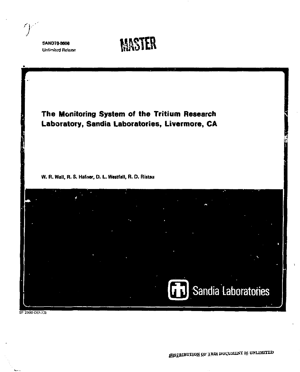**SAND78-8608 Unlimited Release** 

**MASTER** 



SF 2900 Q17-731

**DISTEIBLIION OF THE DOCUMENT IS UNITAILED**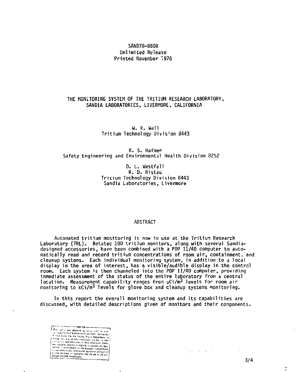### **SAND73-8608 Unlimited Release Printed November ^978**

### **THE MONITORING SYSTEM OF THE TRITIUM RESEARCH LABORATORY, 5ANDIA LABORATORIES, LIVERMORE, CALIFORNIA**

**H. R. Mall Tritium Technology Division 8443** 

**R. S. Hafner Safety Engineering and Environmental Health Division 8252** 

> **D. L. westfall R. D. Ristau Tricium Technology Division 8443 Sandia Laboratories, Livermore**

#### **ABSTRACT**

**Automated tritium monitoring is now in use at the Tritium Research Laboratory (TRL), Betatec 100 tritium monitors, along with several Sandiadesigned accessories, have been combined with a PDP 11/40 computer to automatically read and record tritium concentrations of room air, containment, and**  cleanup systems. Each individual monitoring system, in addition to a loca!<br>display in the area of interest, has a visible/audible display in the control<br>room. Each system is then channeled into the PDP 11/40 computer, pr **immediate assessment of the status of the entire laboratory from a central location.** Measurement capability ranges from  $\mu$ Ci/m<sup>3</sup> levels for room air monitoring to kCi/m<sup>3</sup> levels for glove box and cleanup systems monitoring.

In this report the overall monitoring system and its capabilities are **discussed, with detailed descriptions given of monitors and their components.** 

 $-$  50 Tips  $-$ 

**3/4** 

 $\mu = 1/2$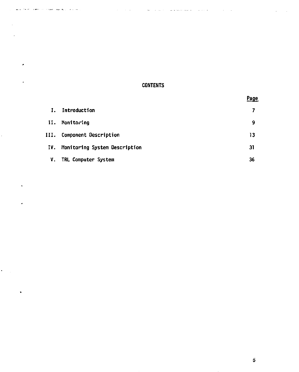## **CONTENTS**

 $\alpha_{\rm B}$ 

 $\sim$  $\ddot{\phantom{0}}$ 

 $\pmb{\cdot}$ 

 $\cdot$ 

 $\ddot{\phantom{0}}$ 

 $\bullet$ 

 $\ddot{\phantom{0}}$ 

 $\bullet$ 

a kontraren 12a era

|     |                               | Page |
|-----|-------------------------------|------|
| 1.  | Introduction                  |      |
| и.  | Monitoring                    | 9    |
| ш.  | Component Description         | 13   |
| IV. | Monitoring System Description | 31   |
| Υ.  | TRL Computer System           | 36   |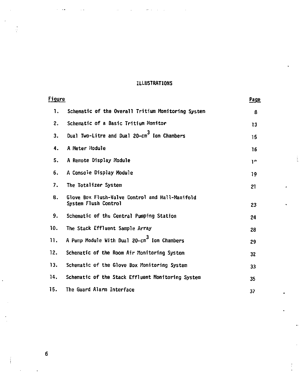# **ILLUSTRATIONS**

| Fi <u>gure</u> |                                                                         | Page |
|----------------|-------------------------------------------------------------------------|------|
| 1.             | Schematic of the Overall Tritium Monitoring System                      | 8    |
| 2.             | Schematic of a Basic Tritium Monitor                                    | 13   |
| 3.             | Dual Two-Litre and Dual 20-cm <sup>3</sup> Ion Chambers                 | 15   |
| 4.             | A Meter Hodule                                                          | 16   |
| 5.             | A Remote Display Module                                                 | ı٠   |
| 6.             | A Console Display Module                                                | 19   |
| 7.             | The Totalizer System                                                    | 21   |
| 8.             | Glove Box Flush-Valve Control and Hall-Manifold<br>System Flush Control | 23   |
| 9.             | Schematic of the Central Pumping Station                                | 24   |
| 10.            | The Stack Effluent Sample Array                                         | 28   |
| 11.            | A Pump Module With Dual 20-cm <sup>3</sup> Ion Chambers                 | 29   |
| 12.            | Schematic of the Room Air Monitoring System                             | 32   |
| 13.            | Schematic of the Glove Box Monitoring System                            | 33   |
| 14.            | Schematic of the Stack Effluent Monitoring System                       | 35   |
| 15.            | The Guard Alarm Interface                                               | 27   |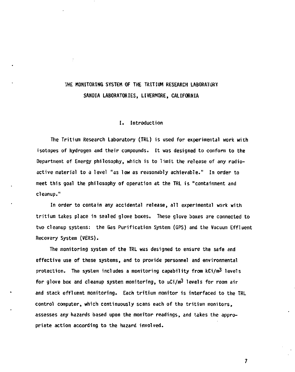# **THE MONITORING SYSTEM OF THE TRITIUM RESEARCH LABORATORY SANOIA LABORATORIES, LIVERMORE, CALIFORNIA**

### **I. Introduction**

**The Tritium Research Laboratory (TRL) is used for experimental work with isotopes of hydrogen and their compounds. It was designed to conform to the Department of Energy philosophy, which is to limit the release of any radioactive material to a level "as low as reasonably achievable." In order to meet this goal the philosophy of operation at the TRL is "containment and cleanup."** 

**In order to contain any accidental release, all experimental work with tritium takes place in sealed glove boxes. These glove boxes are connected to two cleanup systems: the Gas Purification System (GPS) and the Vacuum Effluent Recovery System (VERS).** 

**The monitoring system of the TRL was designed to ensure the safe and effective use of these systems, and to provide personnel and environmental protection. The system includes a monitoring capability from kCi/n>3 levels for glove box and cleanup system monitoring, to uCi/m^ levels for room air and stack effluent monitoring. Each tritium monitor is interfaced to the TRL control computer, which continuously scans each of the tritium monitors, assesses any hazards based upon the monitor readings, and takes the appropriate action according to the hazard involved.**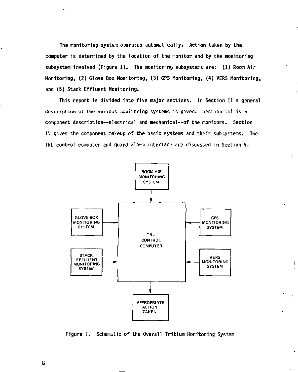**The monitoring system operates automatically. Action taken by the computer is determined by the location of the monitor and by the monitoring subsystem involved (Figure 1). The monitoring subsystems are: (1) Room Air Monitoring, (Z) Glove Box Monitoring, (3) GPS Monitoring, (4) VERS Monitoring, and (5) Stack Effluent Monitoring.** 

**This report is divided into five major sections. In Section II a general description of the various monitoring systems is given. Section III is a component description—electrical and mechanical—of the monitors. Section IV gives the component makeup of the basic systems and their subsystems. The TRL control computer and guard alarm interface are discussed in Section V.** 



Î

 $\mathbf{r}$ 

**Figure 1. Schematic of the Overall Tritium Monitoring System** 

**8** 

 $\mathbf{A}$ 

J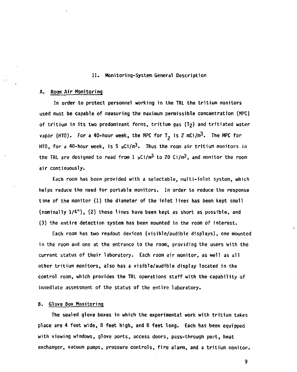### **I I . Monitoririg-System General Description**

### **A. Room Air Monitoring**

**In order to protect personnel working in the TRL the tritium monitors used must be capable of measuring the maximum permissible concentration (MPC) of tritium in its two predominant forms, tritium gas (T2) and tritiated water vapor (HTO). For a 40-hour week, the MPC for T, is 2 mCi/m<sup>3</sup> . The MPC for HTQ, for a 40-hour week, is 5 uCi/m^. Thus the room air tritium monitors in the TRL are designed to read from 1 uCi/rn3 to 20 Ci/m<sup>3</sup> , and monitor the room air continuously.** 

**Each room has been provided with a selectable, multi-inlet system, which helps reduce the need for portable monitors. In order to reduce the response time of the monitor {1) the diameter of the inlet lines has been kept small (nominally 1/4"), (2) these lines have been kept as short as possible, and (3) the entire detection system has been mounted in the room of interest.** 

**Each room has two readout devices (visible/audible displays), one mounted in the room and one at the entrance to the room, providing the users with the current status of their laboratory. Each room air monitor, as well as all other tritium monitors, also has a visible/audible display located in the control room, which provides the TRL operations staff with the capability of immediate assessment of the status of the entire laboratory.** 

### **B. Glove Box Monitoring**

**The sealed glove boxes in which the experimental work with tritium takes place are 4 feet wide, 8 feet high, and 8 feet long. Each has been equipped with viewing windows, glove ports, access doors, pass-through port, heat exchanger, vacuum pumps, pressure controls, fire alarm, and a tritium monitor.**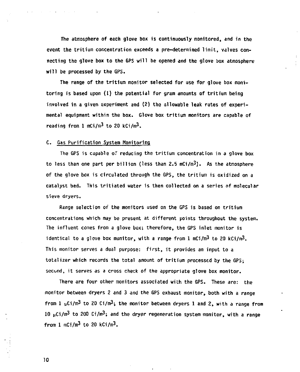**The atmosphere of each glove box is continuously monitored, and in the event the tritium concentration exceeds a pre-determined limit, valves connecting the glove box to the GPS will be opened and the glove box atmosphere will be processed by the GPS.** 

**The range of the tritium monitor selected for use for glove box monitoring is based upon (1) the potential for gram amounts of tritium being involved in a given experiment and (2) the allowable leak rates of experimental equipment within the box. Glove box tritium monitors are capable of reading from 1 mCi/m<sup>3</sup> to 20 kCi/m<sup>3</sup>.** 

### **C. Gas Purification System Monitoring**

**The GPS is capable** *o?* **reducing the tritium concentration in a glove box to less than one part per billion (less than 2.5 mCi/m<sup>3</sup> ). As the atmosphere of the glove box is circulated through the GPS, the tritium is oxidized on a catalyst bed. This tritiated water is then collected on a series of molecular sieve dryers.** 

**Range selection of the monitors used on the GPS is based on tritium concentrations which may be present at different points throughout the system. The influent comes from a glove box; therefore, the GPS inlet monitor is identical to a glove box monitor, with a range from 1 mC1/m<sup>3</sup> to 20 kCi/rn<sup>3</sup>. This monitor serves a dual purpose: first, it provides an input to a totalizer which records the total amount of tritium processed by the GPS; second, it serves as a cross check of the appropriate glove box monitor.** 

**There are four other monitors associated with the GPS. These are: the monitor between dryers 2 and 3 and the GPS exhaust monitor, both with a range from 1 uCi/m<sup>3</sup> to 20 Ci/m<sup>3</sup> ; the monitor between dryers 1 and 2, with a range from 10 uCi/m<sup>3</sup> to 200 Ci/m<sup>3</sup> ; and the dryer regeneration system monitor, with a range from 1 mCi/m<sup>3</sup> to 20 kCi/m<sup>3</sup>.**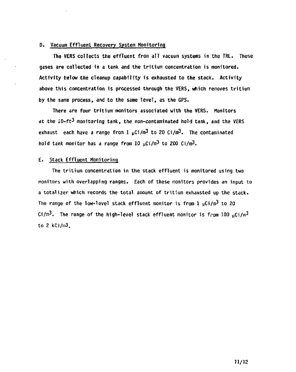### **D. Vacuum Effluent Recovery System Monitoring**

**The VERS collects the effluent from all vacuum systems in the TRL. These gases are collected in a tank and the tritium concentration is monitored. Activity below the cleanup capability is exhausted to the stack. Activity above this concentration is processed through the VERS, which removes tritium by the same process, and to the same level, as the GPS.** 

**There are four tritium monitors associated with the VERS. Monitors at the lO-ft^ monitoring tank, the non-contaminated hold tank, and the VERS**  exhaust each have a range from  $1 \text{ uCi/m}^3$  to 20 Ci/m<sup>3</sup>. The contaminated hold tank monitor has a range from  $10 \text{ uCi/m}^3$  to 200 Ci/m<sup>3</sup>.

## **E. Stack Effluent Monitoring**

**The tritium concentration in the stack effluent is monitored using two monitors with overlapping ranges. Each of these monitors provides an input to a totalizer which records the total amount of tritium exhausted up the stack.**  The range of the low-level stack effluent monitor is from 1 pCi/m<sup>3</sup> to 20  $C_1/m^3$ . The range of the high-level stack effluent monitor is from 100  $nC_1/m^3$ **to 2 kCi/m3.**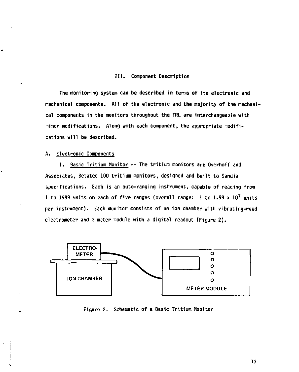### **III. Component Description**

**The monitoring system can be described in terms of its electronic and mechanical components. All of the electronic and the majority of the mechanical components in the monitors throughout the TRL are interchangeable with minor modifications. Along with each component, the appropriate modifications will be described.** 

**A. Electronic Components** 

**1. Basic Tritium Monitor -- The tritium monitors are Overhoff and Associates, Betatec 100 tritium monitors, designed and built to Sandia specifications. Each is an auto-ranging instrument, capable of reading from 1 to 1999 units on each of five ranges (overall range: 1 to 1.99 x 10<sup>7</sup> units per instrument). Each monitor consists of an ion chamber with vibrating-reed electrometer and** *?. miter* **module with a digital readout (Figure 2) .** 



Figure 2. Schematic of a Basic Tritium Monitor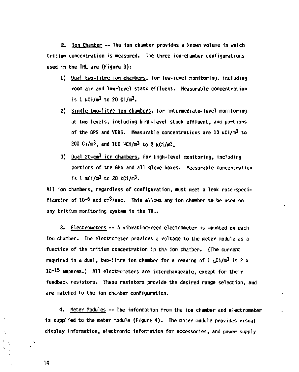**2. Ion Chamber — The ion chamber provides a known volume in which tritium concentration is measured. The three ion-chamber configurations used 1n the TRL are (Figure 3):** 

- **1) Oual two-litre ion chambers, for low-level monitoring, including room air and low-level stack effluent. Measurable concentration**  is  $1 \text{ } \mu \text{Ci/m}^3$  to  $20 \text{ Ci/m}^3$ .
- **2) Single two-litre ion chambers, for intermediate-level monitoring at two levels, including high-level stack effluent, and portions of the GPS and VERS. Measurable concentrations are 10 uCi/m? to 200 Ci/m3, and 100 uCi/m3 to 2 kCi/m3.**
- 3) Dual 20-cm<sup>3</sup> ion chambers, for high-level monitoring, inc<sup>t</sup>uding **portions of the GPS and all glove boxes. Measurable concentration is 1 mCi/m<sup>3</sup> to 20 kCi/m<sup>3</sup> .**

**All ion chambers, regardless of configuration, must meet a leak rate-specification of 10- <sup>6</sup> std cm^/sec. This allows any ion chamber to be used on any tritium monitoring system in the TRL.** 

**3. Electrometers -- A vibrating-reed electrometer is mounted on each ion chamber. The electrometer provides a voltage to the meter module as a**  function of the tritium concentration in the ion chamber. (The current **required in a dual, two-litre ion chamber for a reading of 1 uCi/m3 is 2 x 10-15 amperes.) All electrometers are interchangeable, except for their feedback resistors. These resistors provide the desired range selection, and are matched to the ion chamber configuration.** 

**4. Heter Modules — The information from the ion chamber and electrometer is supplied to the meter module (Figure 4). The meter module provides visual display information, electronic information for accessories, and power supply**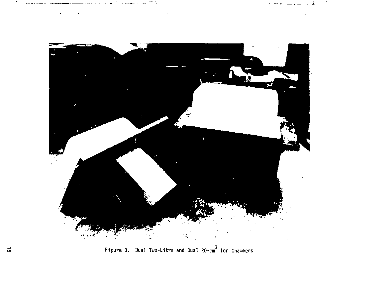

à.

**Figure 3. Dual Two-Litre and Dual 20-cm Ion Chambers** 

ᇚ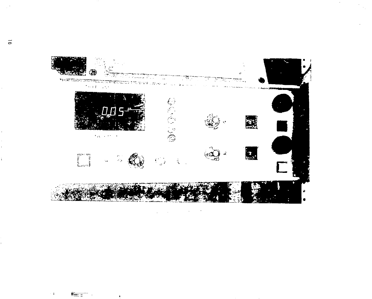

 $\Delta \phi = 1$  , where  $\phi = 1$  , where  $\phi = 0$ 

 $\tilde{a}$ 

ł

 $\sim 4$ 

 $\,$   $\,$ 

 $\mathcal{A}^{\mathcal{A}}$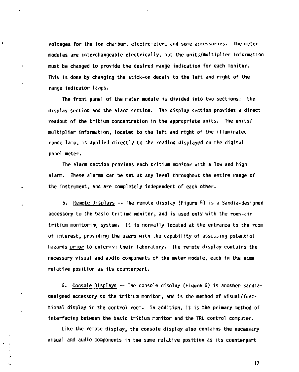**voltages for the ion chamber, electrometer, and some accessories. The meter modules are interchangeable electrically, but the units/multiplier information must be changed to provide the desired range indication for each monitor. This is done by changing the stick-on decals to the left and right of the range indicator la.nps.** 

**The front panel of the meter module is divided into two sections: the display section and the alarm section. The display section provides a direct readout of the tritium concentration in the appropriate units. The units/ multiplier information, located to the left and right of the illuminated range lamp, is applied directly to the reading displayed on the digital panel meter.** 

**The alarm section provides each tritium monitor with a low and high alarm. These alarms can be set at any level throughout the entire range of the instrument, and are completely independent of each other.** 

**5. Remote Displays -- The remote display (Figure 5) is a Sandia-designed accessory to the basic tritium monitor, and is used only with the room-air tritium monitoring system. It is normally located at the entrance to the room of interest, providing the users with the capability of assfc".,ing potential**  hazards prior to entering their laboratory. The remote display contains the **necessary visual and audio components of the meter module, each in the same relative position as its counterpart.** 

**6. Console Displays — The console display (Figure 6) is another Sandiadesigned accessory to the tritium monitor, and is the method of visual/functional display in the control room. In addition, it is the primary method of interfacing between the basic tritium monitor and the TRL control computer.** 

**Like the remote display, the console display also contains the necessary visual and audio components in the same relative position as its counterpart**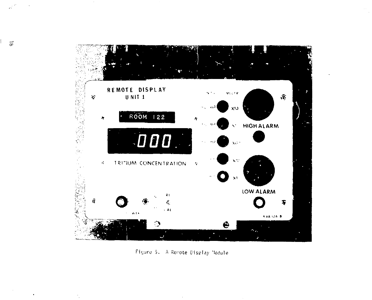

Figure 5. A Remote Display Module

 $\sim$ 

t  $\vec{\alpha}$ 

 $\cdot$ 

 $\mathcal{A}^{\mathcal{P}}$  $\ddot{\phantom{1}}$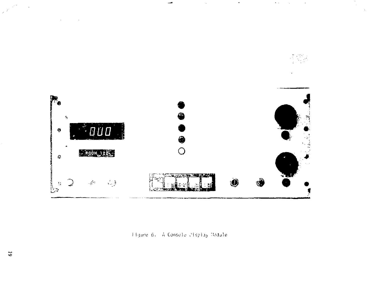

Figure 6. A Console Display Dodule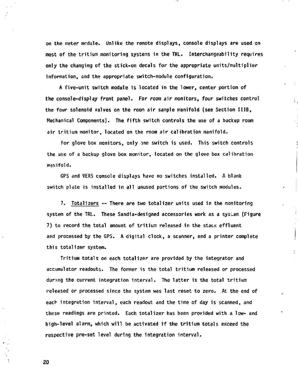**on the meter module. Unlike the remote displays, console displays are used on most of the tritium monitoring systems in the TRL. Interchangeability requires only the changing of the stick-on decals for the appropriate units/multiplier information, and the appropriate switch-module configuration.** 

**A five-unit switch module is located in the lower, center portion of the console-display front panel. For room air monitors, four switches control the four solenoid valves on the room air sample manifold (see Section I1IB, Mechanical Components). The fifth switch controls the use of a backup room air tritium monitor, located on the room air calibration manifold.** 

**For glove box monitors, only one switch is used. This switch controls the use of a backup glove box monitor, located on the glove box calibration manifold.** 

**GPS and VERS console displays have no switches installed. A blank switch plate is installed in all unused portions of the switch modules.** 

**7. Totalizers — There are two totalizer units used in the monitoring system of the TRL. These Sandia-designed accessories work as a system (Figure**  7) to record the total amount of tritium released in the stack effluent **and processed by the GPS. A digital clock, a scanner, and a printer complete this totalizer system.** 

**Tritium totals on each totalizer are provided by the integrator and accumulator readouts. The former is the total tritium released or processed during the current integration interval. The latter is the total tritium released or processed since the system was last reset to zero. At the end of each integration interval, each readout and the time of day is scanned, and these readings are printed. Each totalizer has been provided with a low- and high-level alarm, which will be activated if the tritium totals exceed the respective pre-set level during the integration interval.**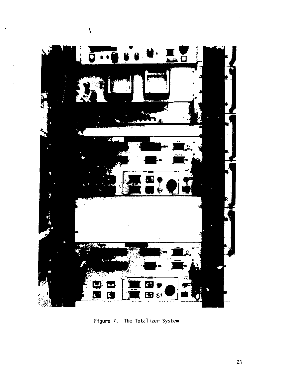

Figure 7. The Totalizer System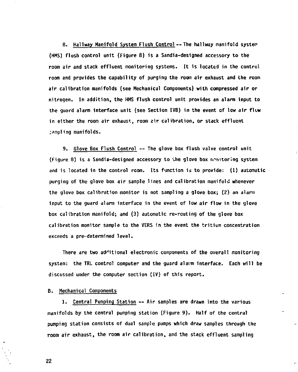**8. Hallway Manifold System Flush Control—The hallway manifold system (HMS) flush control unit (Figure 8) is a Sandia-designed accessory to the room air and stack effluent monitoring systems. It is located in the control room and provides the capability of purging the room air exhaust and the room air calibration manifolds (see Mechanical Components) with compressed air or nitrogen. In addition, the HMS flush control unit provides an alarm input to**  the guard alarm interface unit (see Section IVB) in the event of low air flow **in either the room air exhaust, room eir calibration, or stack effluent ;\*mpling manifolds.** 

**9. Glove Box Flush Control — The glove box flush valve control unit (Figure 8) is a Sandia-designed accessory to Uie glove box monitoring system and is located in the control room. Its function is to provide: (1) automatic purging of the glove box air sample lines and calibration manifold whenever the glove box calibration monitor is not sampling a glove box; (2) an alarm input to the guard alarm interface in the event of low air flow in the glove box calibration manifold; and (3) automatic re-routing of the glove box calibration monitor sample to the VERS in the event the tritium concentration exceeds a pre-determined level.** 

**There are two additional electronic components of the overall monitoring system: the TRL control computer and the guard alaim interface. Each will be discussed under the computer section (IV) of this report.** 

### **B. Mechanical Components**

**1. Central Pumping Station — Air samples are drawn into the various manifolds by the central pumping station (Figure 9) . Half of the central pumping station consists of dual sample pumps which draw samples through the room air exhaust, the room air calibration, and the stack effluent sampling**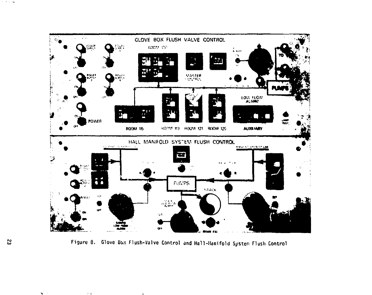

Figure 8. Glove Box Flush-Valve Control and Hall-Manifold System Flush Control

 $\mathbf{r}$ 

ಬ

 $\mathbf{v}$ 

 $\sim 1$ 

the state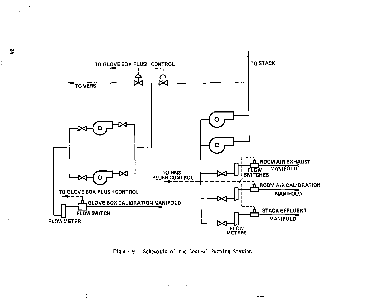

Figure 9. Schematic of the Central Pumping Station

 $\cdots$ 

 $\sim$  -  $\sim$ 

 $\tilde{\mathbf{z}}$ 

J

 $\ddot{\phantom{0}}$  $\sigma_{\rm m} = 2.5$   $\mathbf{r}$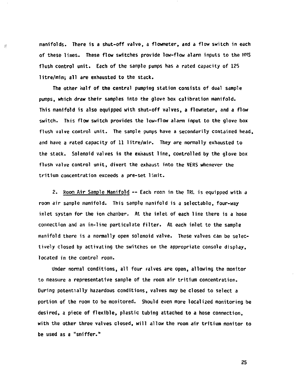**manifolds. There is a shut-off valve, a flowmeter, and a flow switch in each of these lines. These flow switches provide low-flow alarm inputs to the HMS flush control unit. Each of the sample pumps has a rated capacity of 125 litre/min; all are exhausted to the stack.** 

ģ.

**The other half of the central pumping station consists of dual sample pumps, which draw their samples Into the glove box calibration manifold. This manifold is also equipped with shut-off valves, a flowmeter, and a flow switch. This flow switch provides the low-flow alarm input to the glove box flush valve control unit. The sample pumps have a secondarily contained head, and have a rated capacity of 11 litre/min. They are normally exhausted to the stack. Solenoid valves in the exhaust line, controlled by the glove box flush valve control unit, divert the exhaust into the VERS whenever the tritium concentration exceeds a pre-set limit.** 

**2. Room Air Sample Manifold — Each room in the TRL is equipped with a room air sample manifold. This sample manifold is a selectable, four-way inlet system for the ion chamber. At the inlet of each line there is a nose connection and an in-line particulate filter. At each inlet to the sample manifold there is a normally open solenoid valve. These valves can be selectively closed by activating the switches on the appropriate console display, located in the control room.** 

**Under normal conditions, all four valves are open, allowing the monitor to measure a representative sample of the room air tritium concentration. During potentially hazardous conditions, valves may be closed to select a portion of the room to be monitored. Should even more localized monitoring be desired, a piece of flexible, plastic tubing attached to a hose connection, with the other three valves closed, will allow the room air tritium monitor to be used as a "sniffer."**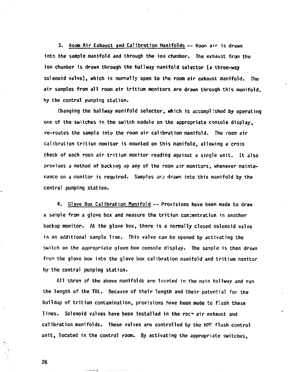**3. Room Air Exhaust and Calibration Manifolds — Room air is drawn into the sample manifold and through the ion chamber. The exhaust from the ion chamber 1s drawn through the hallway manifold selector (a three-way solenoid valve), which is normally open to the room air exhaust manifold. The air samples from all room air tritium monitors are drawn through this manifold, by the central pumping station.** 

**Changing the hallway manifold selector, which is accomplished by operating one of the switches in the switch module on the appropriate console display, re-routes the sample into the room air calibration manifold. The room air**  calibration tritium monitor is mounted on this manifold, allowing a cross **check of each room air tritium monitor reading against a single unit. It also provides a method of backing up any of the room air monitors, whenever mainte**nance on a monitor is required. Samples are drawn into this manifold by the **central pumping station.** 

**4. Glove Box Calibration Manifold — Provisions have been made to draw a sample from a glove box and measure the tritium con:entration in another backup monitor. At the glove box, there is a normally closed solenoid valve in an additional sample line. This valve can be opened by activating the switch on the appropriate glove box console display. The sample is then drawn from the glove box into the glove box calibration manifold and tritium monitor by the central pumping station.** 

**All three of the above manifolds are located in the main hallway and run the length of the TRL. Because of their length and their potential for the buildup of tritium contamination, provisions have been made to flush these lines. Solenoid valves have been installed in the roc^ air exhaust and calibration manifolds. These valves are controlled by the H!ir flush control unit, located in the control room. By activating the appropriate switches,**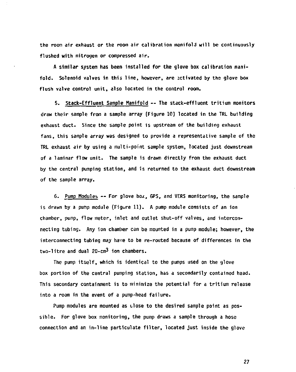**the room air exhaust or the room air calibration manifold will be continuously flushed with nitrogen or compressed air.** 

**A similar system has been installed for the glove box calibration manifold. Solenoid valves in this line, however, are activated by the glove box flush valve control unit, also located in the control room.** 

**5. Stack-Effluent Sample Manifold — The stack-effluent tritium monitors draw their sample from a sample array (Figure 10) located in the TRL building exhaust duct. Since the sample point is upstream of the building exhaust fans, this sample array was designed to provide a representative sample of the TRL exhaust air by using a multi-point sample system, located just downstream of a laminar flow unit. The sample is drawn directly from the exhaust duct by the central pumping station, and is returned to the exhaust duct downstream of the sample array.** 

**6. Pump Modules — For glove box, GPS, and VERS monitoring, the sample is drawn by a pump module (Figure 11). A pump module consists of an ion chamber, pump, flowmeter, inlet and outlet shut-off valves, and interconnecting tubing. Any ion chamber can be mounted in a pump module; however, the interconnecting tubing may have to be re-routed because of differences in the two-litre and dual 20-cm3 ion chambers.** 

**The pump itself, which is identical to the pumps used on the glove box portion of the central pumping station, has a secondarily contained head. This secondary containment is to minimize the potential for a tritium release into a room in the event of a pump-head failure.** 

**Pump modules are mounted as close to the desired sample point as possible. For glove box monitoring, the pump draws a sample through a hose connection and an in-line particulate filter, located just inside the glove**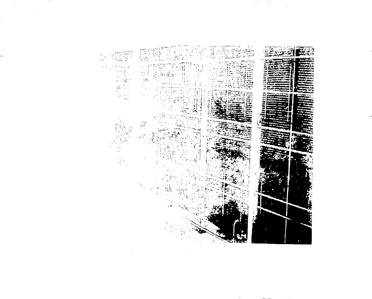

 $\sim$  100  $\mu$ 

**Contractor**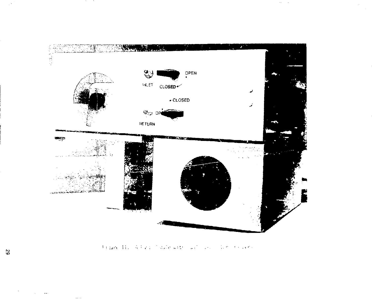

 $\sim$  440  $\sim$  400  $\sim$ 

(Fragene 11) (A Fara Chaule arts) and (Use China Fragen-

 $\mathfrak{s}$ 

 $\mathcal{O}(\mathcal{O}^2)$  and  $\mathcal{O}(\mathcal{O}^2)$  .

 $\sim$   $\sim$ 

 $\sim 10^9$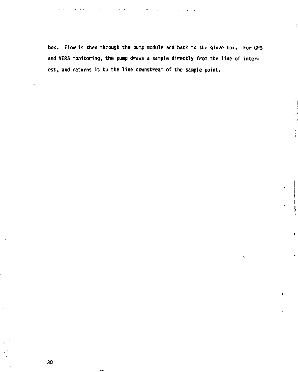**box. Flow 1s then through the pump module and back to the glove box. For GPS and VERS monitoring, the pump draws a sample directly from the line of interest, and returns it to the line downstream of the sample point.** 

÷

and and

and a state of the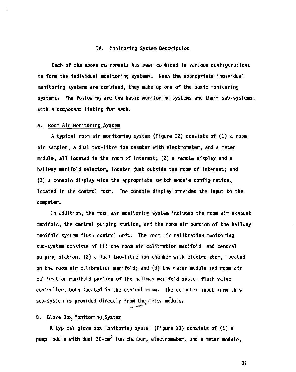### IV. Monitoring System Description

Each of the above components has been combined in various configurations to form the individual monitoring systems. When the appropriate individual monitoring systems are combined, they make up one of the basic monitoring systems. The following are the basic monitoring systems and their sub-systems, with a component listing for each.

### A. Room Air Monitoring System

A typical room air monitoring system (Figure 12) consists of (1) a room air sampler, a dual two-litre ion chamber with electrometer, and a meter module, all located in the room of interest; (2) a remote display and a hallway manifold selector, located just outside the room of interest; and (3) a console display with the appropriate switch module configuration, located in the control room. The console display prrvides the input to the computer.

In addition, the room air monitoring system includes the room air exhaust manifold, the central pumping station, and the room air portion of the hallway manifold system flush control unit. The room air calibration monitoring sub-system consists of (1) the room air calitration manifold and central pumping station; (2) a dual two-litre ion chamber with electrometer, located on the room air calibration manifold; and (3) the meter module and room air calibration manifold portion of the hallway manifold system flush valve controller, both located in the control room. The computer input from this sub-system is provided directly from the meter module.

### B. Glove Box Monitoring System

pump module with dual 20-cm<sup>3</sup>

A typical glove box monitoring system (Figure 13) consists of (1) a pump module with dual 20-cm<sup>3</sup> ion chamber, electrometer, and a meter module.

ion chamber, electrometer, and a meter module,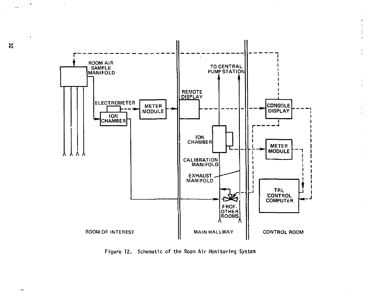

Figure 12. Schematic of the Room Air Monitoring System

ಜ

 $\label{eq:2.1} \frac{1}{\sqrt{2\pi}}\left(\frac{1}{2}\sum_{i=1}^N\frac{1}{2}\sum_{j=1}^N\frac{1}{2}\sum_{j=1}^N\frac{1}{2}\sum_{j=1}^N\frac{1}{2}\sum_{j=1}^N\frac{1}{2}\sum_{j=1}^N\frac{1}{2}\sum_{j=1}^N\frac{1}{2}\sum_{j=1}^N\frac{1}{2}\sum_{j=1}^N\frac{1}{2}\sum_{j=1}^N\frac{1}{2}\sum_{j=1}^N\frac{1}{2}\sum_{j=1}^N\frac{1}{2}\sum_{j=1}^N\frac$ 

 $\cdot$ 

 $\sim$ 

 $\sim$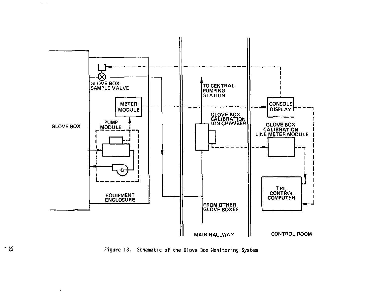

Figure 13. Schematic of the Glove Box Monitoring System

یں ۔

 $\cdot$ 

 $\omega = \omega$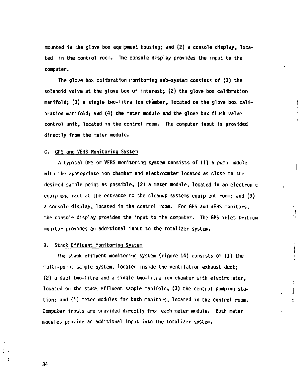**mounted in the glove box equipment housing; and (2) a console display, located in the control room. The console display provides the input to the computer.** 

**The glove box calibration monitoring sub-system consists of (1) the solenoid valve at the glove box of interest; (2) the glove box calibration manifold; (3) a single two-litre ion chamber, located on the glove box calibration manifold; and (4) the meter module and the glove box flush valve control unit, located in the control room. The computer input is provided directly from the meter module.** 

### **C. GPS and VERS Monitoring System**

**A typical GPS or VERS monitoring system consists of (1) a pump module with the appropriate ion chamber and electrometer located as close to the desired sample point as possible; (2) a meter module, located in an electronic equipment rack at the entrance to the cleanup systems equipment room; and (3) a console display, located in the control room. For GPS and VERS monitors, the console display provides the input to the computer. The GPS inlet tritium monitor provides an additional input to the totalizer system.** 

### **D. Stack Effluent Monitoring System**

**The stack effluent monitoring system (Figure 14) consists of (1) the multi-point sample system, located inside the ventilation exhaust duct; (2) a dual two-litre and a tingle two-litre ion chamber with electrometer, located on the stack effluent sample manifold; (3) the central pumping station; and (4) meter modules for both monitors, located in the control room. Computer inputs are provided directly from each meter module. Both meter modules provide an additional input into the totalizer system.** 

**34** 

 $\overline{z}$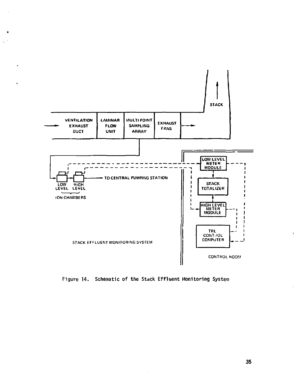

Figure 14. Schematic of the Stack Effluent Monitoring System

 $\bar{\rm t}$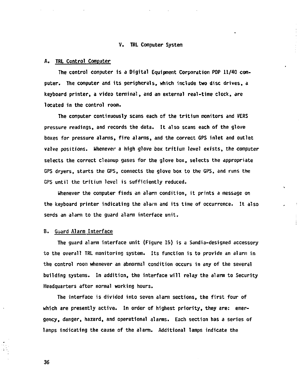### **V. TRL Computer System**

#### A. **TRL** Control Computer

The control computer is a Digital Equipment Corporation POP 11/40 computer. The computer and its peripherals, which include two disc drives, a keyboard printer, a video terminal, and an external real-time clock, are located in the control room.

The computer continuously scans each of the tritium monitors and VERS pressure readings, and records the data. It also scans each of the glove boxes for pressure alarms, fire alarms, and the correct GPS inlet and outlet valve positions. Whenever a high glove box tritium level exists, the computer selects the correct cleanup gases for the glove box, selects the appropriate GPS dryers, starts the GPS, connects the glove box to the GPS, and runs the GPS until the tritium level is sufficiently reduced.

Whenever the computer finds an alarm condition, it prints a message on the keyboard printer indicating the alarm and its time of occurrence. It also sends an alarm to the guard alarm interface unit.

### B. Guard Alarm Interface

The guard alarm interface unit (Figure 15) is a Sandia-designed accessory to the overall TRL monitoring system. Its function is to provide an alarm in the control room whenever an abnormal condition occurs in any of the several building systems. In addition, the interface will relay the alarm to Security Headquarters after normal working hours.

The interface is divided into seven alarm sections, the first four of which are presently active. In order of highest priority, they are: emergency, danger, hazard, and operational alarms. Each section has a series of lamps indicating the cause of the alarm. Additional lamps indicate the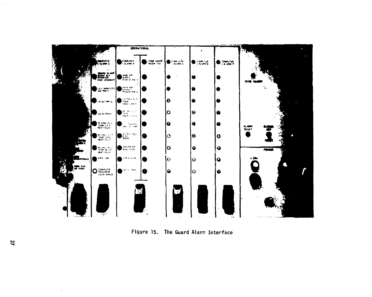

Figure 15. The Guard Alarm Interface

J.